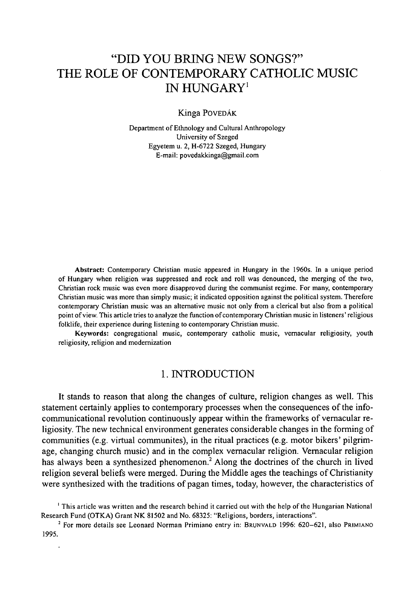# "DID YOU BRING NEW SONGS?" THE ROLE OF CONTEMPORARY CATHOLIC MUSIC IN HUNGARY<sup>1</sup>

Kinga PoveDÁK

Department of Ethnology and Cultural Anthropology University of Szeged Egyetem u. 2, H-6722 Szeged, Hungary E-mail: [povedakkinga@gmail.com](mailto:povedakkinga@gmail.com)

**Abstract:** Contemporary Christian music appeared in Hungary in the 1960s. In a unique period of Hungary when religion was suppressed and rock and roll was denounced, the merging of the two, Christian rock music was even more disapproved during the communist regime. For many, contemporary Christian music was more than simply music; it indicated opposition against the political system. Therefore contemporary Christian music was an alternative music not only from a clerical but also from a political point of view. This article tries to analyze the function of contemporary Christian music in listeners' religious folklife, their experience during listening to contemporary Christian music.

**Keywords:** congregational music, contemporary catholic music, vernacular religiosity, youth religiosity, religion and modernization

# 1. INTRODUCTION

It stands to reason that along the changes of culture, religion changes as well. This statement certainly applies to contemporary processes when the consequences of the infocommunicational revolution continuously appear within the frameworks of vernacular religiosity. The new technical environment generates considerable changes in the forming of communities (e.g. virtual communites), in the ritual practices (e.g. motor bikers' pilgrimage, changing church music) and in the complex vernacular religion. Vernacular religion has always been a synthesized phenomenon.<sup>2</sup> Along the doctrines of the church in lived religion several beliefs were merged. During the Middle ages the teachings of Christianity were synthesized with the traditions of pagan times, today, however, the characteristics of

 $2$  For more details see Leonard Norman Primiano entry in: BRUNVALD 1996: 620–621, also PRIMIANO 1995.

<sup>1</sup> This article was written and the research behind it carried out with the help ofthe Hungarian National Research Fund (OTKA) Grant NK. 81502 and No. 68325: "Religions, borders, interactions".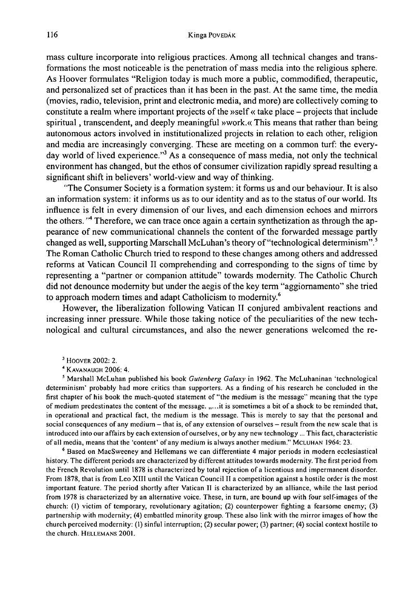mass culture incorporate into religious practices. Among all technical changes and transformations the most noticeable is the penetration of mass media into the religious sphere. As Hoover formulates "Religion today is much more a public, commodified, therapeutic, and personalized set of practices than it has been in the past. At the same time, the media (movies, radio, television, print and electronic media, and more) are collectively coming to constitute a realm where important projects of the »self « take place – projects that include spiritual, transcendent, and deeply meaningful »work.« This means that rather than being autonomous actors involved in institutionalized projects in relation to each other, religion and media are increasingly converging. These are meeting on a common turf: the everyday world of lived experience."3 As a consequence of mass media, not only the technical environment has changed, but the ethos of consumer civilization rapidly spread resulting a significant shift in believers' world-view and way of thinking.

"The Consumer Society is a formation system: it forms us and our behaviour. It is also an information system: it informs us as to our identity and as to the status of our world. Its influence is felt in every dimension of our lives, and each dimension echoes and mirrors the others.  $\mathbb{R}^4$  Therefore, we can trace once again a certain synthetization as through the appearance of new communicational channels the content ofthe forwarded message partly changed as well, supporting Marschall McLuhan's theory of "technological determinism".<sup>5</sup> The Roman Catholic Church tried to respond to these changes among others and addressed reforms at Vatican Council II comprehending and corresponding to the signs of time by representing a "partner or companion attitude" towards modernity. The Catholic Church did not denounce modernity but under the aegis of the key term "aggiornamento" she tried to approach modern times and adapt Catholicism to modernity.<sup>6</sup>

However, the liberalization following Vatican II conjured ambivalent reactions and increasing inner pressure. While those taking notice of the peculiarities of the new technological and cultural circumstances, and also the newer generations welcomed the re-

<sup>4</sup> KAVANAUGH 2006: 4.

*<sup>5</sup>* Marshall McLuhan published his book *Gutenberg Galaxy* in 1962. The McLuhaninan 'technological determinism' probably had more critics than supporters. As a finding of his research he concluded in the first chapter of his book the much-quoted statement of "the medium is the message" meaning that the type of medium predestinates the content of the message. "...it is sometimes a bit of a shock to be reminded that, in operational and practical fact, the medium is the message. This is merely to say that the personal and social consequences of any medium - that is, of any extension of ourselves - result from the new scale that is introduced into our affairs by each extension of ourselves, or by any new technology ... This fact, characteristic of all media, means that the 'content' of any medium is always another medium." Mcluhan 1964: 23.

<sup>6</sup> Based on MacSweeney and Hellemans we can differentiate 4 major periods in modern ecclesiastical history. The different periods are characterized by different attitudes towards modernity. The first period from the French Revolution until 1878 is characterized by total rejection of a licentious and impermanent disorder. From 1878, that is from Leo XIII until the Vatican Council II a competition against a hostile order is the most important feature. The period shortly after Vatican II is characterized by an alliance, while the last period from 1978 is characterized by an alternative voice. These, in turn, are bound up with four self-images of the church: (1) victim of temporary, revolutionary agitation; (2) counterpower fighting a fearsome enemy; (3) partnership with modernity; (4) embattled minority group. These also link with the mirror images of how the church perceived modernity: (1) sinful interruption; (2) secular power; (3) partner; (4) social context hostile to the church. HELLEMANS 2001.

<sup>3</sup> Hoover 2002: 2.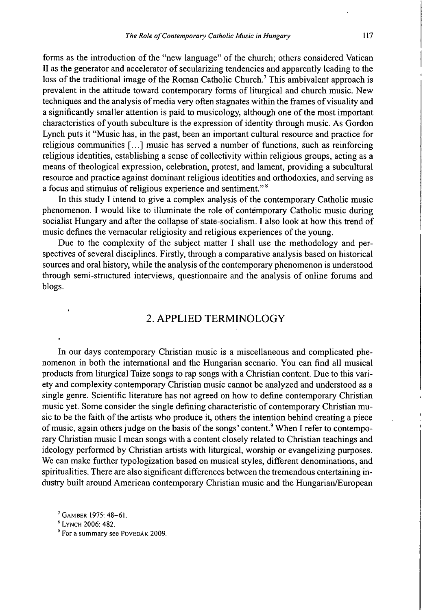forms as the introduction of the "new language" of the church; others considered Vatican II as the generator and accelerator of secularizing tendencies and apparently leading to the loss of the traditional image of the Roman Catholic Church.<sup>7</sup> This ambivalent approach is prevalent in the attitude toward contemporary forms of liturgical and church music. New techniques and the analysis of media very often stagnates within the frames of visuality and a significantly smaller attention is paid to musicology, although one ofthe most important characteristics of youth subculture is the expression ofidentity through music. As Gordon Lynch puts it "Music has, in the past, been an important cultural resource and practice for religious communities [...] music has served a number of functions, such as reinforcing religious identities, establishing a sense of collectivity within religious groups, acting as a means oftheological expression, celebration, protest, and lament, providing a subcultural resource and practice against dominant religious identities and orthodoxies, and serving as a focus and stimulus of religious experience and sentiment."<sup>8</sup>

In this study I intend to give a complex analysis of the contemporary Catholic music phenomenon. I would like to illuminate the role of contemporary Catholic music during socialist Hungary and after the collapse of state-socialism. I also look at how this trend of music defines the vernacular religiosity and religious experiences of the young.

Due to the complexity of the subject matter I shall use the methodology and perspectives of several disciplines. Firstly, through a comparative analysis based on historical sources and oral history, while the analysis of the contemporary phenomenon is understood through semi-structured interviews, questionnaire and the analysis of online forums and blogs.

# 2. APPLIED TERMINOLOGY

In our days contemporary Christian music is a miscellaneous and complicated phenomenon in both the international and the Hungarian scenario. You can find all musical products from liturgical Taize songs to rap songs with a Christian content. Due to this variety and complexity contemporary Christian music cannot be analyzed and understood as a single genre. Scientific literature has not agreed on how to define contemporary Christian music yet. Some consider the single defining characteristic of contemporary Christian music to be the faith of the artists who produce it, others the intention behind creating a piece of music, again others judge on the basis of the songs' content.<sup>9</sup> When I refer to contemporary Christian music I mean songs with a content closely related to Christian teachings and ideology performed by Christian artists with liturgical, worship or evangelizing purposes. We can make further typologization based on musical styles, different denominations, and spiritualities. There are also significant differences between the tremendous entertaining industry built around American contemporary Christian music and the Hungarian/European

<sup>7</sup> Gamber 1975: 48-61.

<sup>8</sup> Lynch 2006: 482.

<sup>&</sup>lt;sup>9</sup> For a summary see Povepák 2009.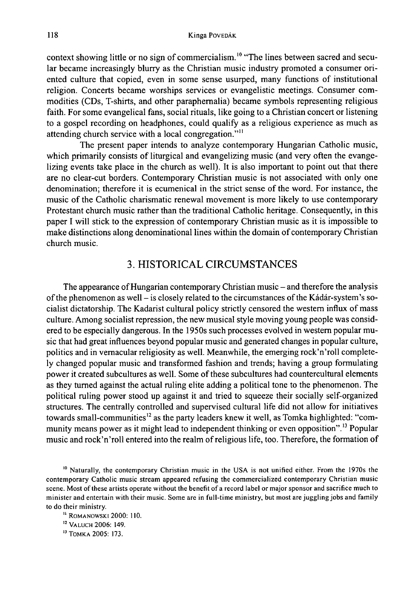context showing little or no sign of commercialism.<sup>10</sup> "The lines between sacred and secular became increasingly blurry as the Christian music industry promoted a consumer oriented culture that copied, even in some sense usurped, many functions of institutional religion. Concerts became worships services or evangelistic meetings. Consumer commodities (CDs, T-shirts, and other paraphernalia) became symbols representing religious faith. For some evangelical fans, social rituals, like going to a Christian concert or listening to a gospel recording on headphones, could qualify as a religious experience as much as attending church service with a local congregation."<sup>11</sup>

The present paper intends to analyze contemporary Hungarian Catholic music, which primarily consists of liturgical and evangelizing music (and very often the evangelizing events take place in the church as well). It is also important to point out that there are no clear-cut borders. Contemporary Christian music is not associated with only one denomination; therefore it is ecumenical in the strict sense of the word. For instance, the music ofthe Catholic charismatic renewal movement is more likely to use contemporary Protestant church music rather than the traditional Catholic heritage. Consequently, in this paper I will stick to the expression of contemporary Christian music as it is impossible to make distinctions along denominational lines within the domain of contemporary Christian church music.

# 3. HISTORICAL CIRCUMSTANCES

The appearance of Hungarian contemporary Christian music – and therefore the analysis of the phenomenon as well – is closely related to the circumstances of the Kádár-system's socialist dictatorship. The Kadarist cultural policy strictly censored the western influx of mass culture. Among socialist repression, the new musical style moving young people was considered to be especially dangerous. In the 1950s such processes evolved in western popular music that had great influences beyond popular music and generated changes in popular culture, politics and in vernacular religiosity as well. Meanwhile, the emerging rock'n'roll completely changed popular music and transformed fashion and trends; having a group formulating power it created subcultures as well. Some of these subcultures had countercultural elements as they turned against the actual ruling elite adding a political tone to the phenomenon. The political ruling power stood up against it and tried to squeeze their socially self-organized structures. The centrally controlled and supervised cultural life did not allow for initiatives towards small-communities<sup>12</sup> as the party leaders knew it well, as Tomka highlighted: "community means power as it might lead to independent thinking or even opposition".<sup>13</sup> Popular music and rock'n'roll entered into the realm ofreligious life, too. Therefore, the formation of

<sup>10</sup> Naturally, the contemporary Christian music in the USA is not unified either. From the 1970s the contemporary Catholic music stream appeared refusing the commercialized contemporary Christian music scene. Most of these artists operate without the benefit of a record label or major sponsor and sacrifice much to minister and entertain with their music. Some are in full-time ministry, but most are juggling jobs and family to do their ministry.

<sup>11</sup> ROMANOWSKI 2000: 110.

<sup>12</sup> VALUCH 2006: 149.

<sup>13</sup> Tomka 2005: 173.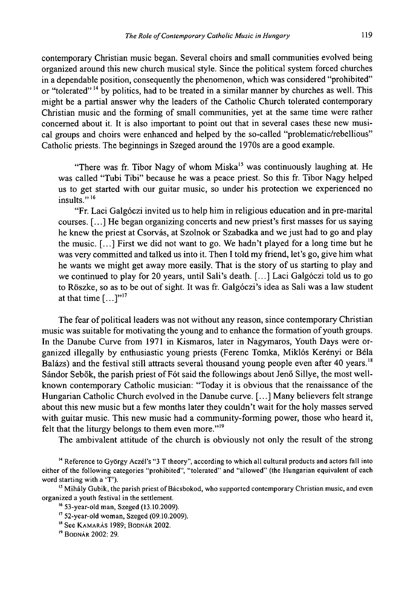contemporary Christian music began. Several choirs and small communities evolved being organized around this new church musical style. Since the political system forced churches in a dependable position, consequently the phenomenon, which was considered "prohibited" or "tolerated"<sup>14</sup> by politics, had to be treated in a similar manner by churches as well. This might be a partial answer why the leaders of the Catholic Church tolerated contemporary Christian music and the forming of small communities, yet at the same time were rather concerned about it. It is also important to point out that in several cases these new musical groups and choirs were enhanced and helped by the so-called "problematic/rebellious" Catholic priests. The beginnings in Szeged around the 1970s are a good example.

"There was fr. Tibor Nagy of whom Miska<sup>15</sup> was continuously laughing at. He was called "Tubi Tibi" because he was a peace priest. So this fr. Tibor Nagy helped us to get started with our guitar music, so under his protection we experienced no insults."<sup>16</sup>

"Fr. Laci Galgóczi invited us to help him in religious education and in pre-marital courses. [...] He began organizing concerts and new priest's first masses for us saying he knew the priest at Csorvás, at Szolnok or Szabadka and we just had to go and play the music. [...] First we did not want to go. We hadn't played for a long time but he was very committed and talked us into it. Then I told my friend, let's go, give him what he wants we might get away more easily. That is the story of us starting to play and we continued to play for 20 years, until Sali's death. [...] Laci Galgóczi told us to go to Röszke, so as to be out of sight. It was fr. Galgóczi's idea as Sali was a law student at that time  $[\dots]^{17}$ 

The fear of political leaders was not without any reason, since contemporary Christian music was suitable for motivating the young and to enhance the formation of youth groups. In the Danube Curve from 1971 in Kismaros, later in Nagymaros, Youth Days were organized illegally by enthusiastic young priests (Ferenc Tomka, Miklós Kerényi or Béla Balázs) and the festival still attracts several thousand young people even after 40 years.<sup>18</sup> Sándor Sebők, the parish priest of Fót said the followings about Jenő Sillye, the most wellknown contemporary Catholic musician: "Today it is obvious that the renaissance of the Hungarian Catholic Church evolved in the Danube curve. [...] Many believers felt strange about this new music but a few months later they couldn't wait for the holy masses served with guitar music. This new music had a community-forming power, those who heard it, felt that the liturgy belongs to them even more."19

The ambivalent attitude of the church is obviously not only the result of the strong

<sup>14</sup> Reference to György Aczél's "3 T theory", according to which all cultural products and actors fall into either of the following categories "prohibited", "tolerated" and "allowed" (the Hungarian equivalent of each word starting with a 'T').

<sup>15</sup> Mihály Gubik, the parish priest of Bácsbokod, who supported contemporary Christian music, and even organized a youth festival in the settlement.

<sup>16</sup> 53-year-old man, Szeged (13.10.2009).

 $17$  52-year-old woman, Szeged (09.10.2009).

<sup>&#</sup>x27;\* See Kamarás 1989; Bodnár 2002.

<sup>19</sup> Bodnár 2002: 29.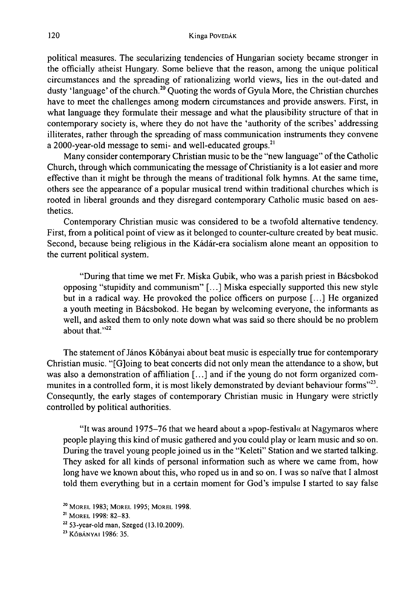political measures. The secularizing tendencies of Hungarian society became stronger in the officially atheist Hungary. Some believe that the reason, among the unique political circumstances and the spreading of rationalizing world views, lies in the out-dated and dusty 'language' of the church.<sup>20</sup> Quoting the words of Gyula More, the Christian churches have to meet the challenges among modem circumstances and provide answers. First, in what language they formulate their message and what the plausibility structure of that in contemporary society is, where they do not have the 'authority of the scribes' addressing illiterates, rather through the spreading of mass communication instruments they convene a 2000-year-old message to semi- and well-educated groups.<sup>21</sup>

Many consider contemporary Christian music to be the "new language" of the Catholic Church, through which communicating the message ofChristianity is a lot easier and more effective than it might be through the means of traditional folk hymns. At the same time, others see the appearance of a popular musical trend within traditional churches which is rooted in liberal grounds and they disregard contemporary Catholic music based on aesthetics.

Contemporary Christian music was considered to be a twofold alternative tendency. First, from a political point of view as it belonged to counter-culture created by beat music. Second, because being religious in the Kádár-era socialism alone meant an opposition to the current political system.

"During that time we met Fr. Miska Gubik, who was a parish priest in Bácsbokod opposing "stupidity and communism" [...] Miska especially supported this new style but in a radical way. He provoked the police officers on purpose [...] He organized a youth meeting in Bácsbokod. He began by welcoming everyone, the informants as well, and asked them to only note down what was said so there should be no problem about that."<sup>22</sup>

The statement of János Kőbányai about beat music is especially true for contemporary Christian music. "[G]oing to beat concerts did not only mean the attendance to a show, but was also a demonstration of affiliation  $[\dots]$  and if the young do not form organized communites in a controlled form, it is most likely demonstrated by deviant behaviour forms"<sup>23</sup>. Consequntly, the early stages of contemporary Christian music in Hungary were strictly controlled by political authorities.

"It was around 1975-76 that we heard about a »pop-festival« at Nagymaros where people playing this kind ofmusic gathered and you could play or learn music and so on. During the travel young people joined us in the "Keleti" Station and we started talking. They asked for all kinds of personal information such as where we came from, how long have we known about this, who roped us in and so on. I was so naïve that I almost told them everything but in a certain moment for God's impulse I started to say false

<sup>20</sup> Morel 1983; Morel 1995; Morel 1998.

<sup>21</sup> Morel 1998: 82-83.

 $22$  53-year-old man, Szeged (13.10.2009).

<sup>&</sup>lt;sup>23</sup> KŐBÁNYAI 1986: 35.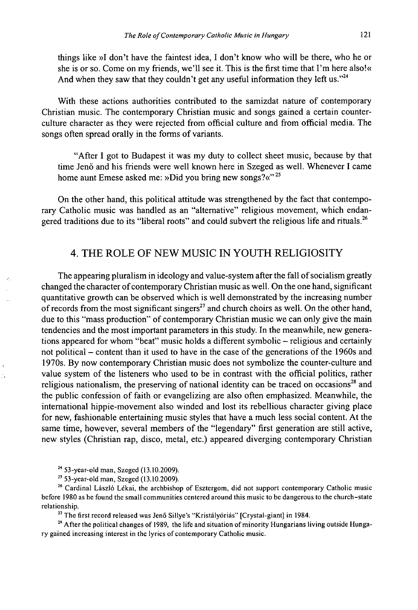things like »I don't have the faintest idea, I don't know who will be there, who he or she is or so. Come on my friends, we'll see it. This is the first time that I'm here also!« And when they saw that they couldn't get any useful information they left us."<sup>24</sup>

With these actions authorities contributed to the samizdat nature of contemporary Christian music. The contemporary Christian music and songs gained a certain counterculture character as they were rejected from official culture and from official media. The songs often spread orally in the forms of variants.

"After I got to Budapest it was my duty to collect sheet music, because by that time Jenő and his friends were well known here in Szeged as well. Whenever I came home aunt Emese asked me: »Did you bring new songs?«**»25**

On the other hand, this political attitude was strengthened by the fact that contemporary Catholic music was handled as an "alternative" religious movement, which endangered traditions due to its "liberal roots" and could subvert the religious life and rituals.<sup>26</sup>

### 4. THE ROLE OF NEW MUSIC IN YOUTH RELIGIOSITY

The appearing pluralism in ideology and value-system after the fall of socialism greatly changed the character of contemporary Christian music as well. On the one hand, significant quantitative growth can be observed which is well demonstrated by the increasing number of records from the most significant singers<sup>27</sup> and church choirs as well. On the other hand, due to this "mass production" of contemporary Christian music we can only give the main tendencies and the most important parameters in this study. In the meanwhile, new generations appeared for whom "beat" music holds a different symbolic - religious and certainly not political – content than it used to have in the case of the generations of the 1960s and 1970s. By now contemporary Christian music does not symbolize the counter-culture and value system of the listeners who used to be in contrast with the official politics, rather religious nationalism, the preserving of national identity can be traced on occasions $^{28}$  and the public confession of faith or evangelizing are also often emphasized. Meanwhile, the international hippie-movement also winded and lost its rebellious character giving place for new, fashionable entertaining music styles that have a much less social content. At the same time, however, several members of the "legendary" first generation are still active, new styles (Christian rap, disco, metal, etc.) appeared diverging contemporary Christian

<sup>24</sup> 53-year-old man, Szeged (13.10.2009).

<sup>25</sup> 53-year-old man, Szeged (13.10.2009).

<sup>26</sup> Cardinal László Lékai, the archbishop of Esztergom, did not support contemporary Catholic music before 1980 as he found the small communities centered around this music to be dangerous to the church-state relationship.

<sup>27</sup> The first record released was Jenő Sillye's "Kristályóriás" [Crystal-giant] in 1984.

 $2<sup>2</sup>$  After the political changes of 1989, the life and situation of minority Hungarians living outside Hungary gained increasing interest in the lyrics of contemporary Catholic music.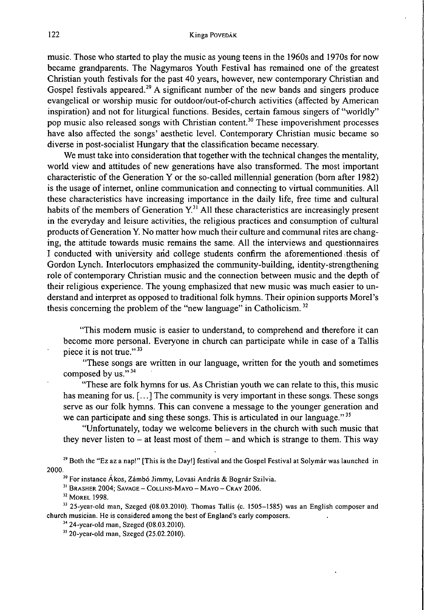music. Those who started to play the music as young teens in the 1960s and 1970s for now became grandparents. The Nagymaros Youth Festival has remained one of the greatest Christian youth festivals for the past 40 years, however, new contemporary Christian and Gospel festivals appeared.<sup>29</sup> A significant number of the new bands and singers produce evangelical or worship music for outdoor/out-of-church activities (affected by American inspiration) and not for liturgical functions. Besides, certain famous singers of "worldly" pop music also released songs with Christian content.<sup>30</sup> These impoverishment processes have also affected the songs' aesthetic level. Contemporary Christian music became so diverse in post-socialist Hungary that the classification became necessary.

We must take into consideration that together with the technical changes the mentality, world view and attitudes of new generations have also transformed. The most important characteristic ofthe Generation Y or the so-called millennial generation (bom after 1982) is the usage of internet, online communication and connecting to virtual communities. All these characteristics have increasing importance in the daily life, free time and cultural habits of the members of Generation  $Y<sup>31</sup>$  All these characteristics are increasingly present in the everyday and leisure activities, the religious practices and consumption of cultural products ofGeneration Y. No matter how much their culture and communal rites are changing, the attitude towards music remains the same. All the interviews and questionnaires I conducted with university arid college students confirm the aforementioned thesis of Gordon Lynch. Interlocutors emphasized the community-building, identity-strengthening role of contemporary Christian music and the connection between music and the depth of their religious experience. The young emphasized that new music was much easier to understand and interpret as opposed to traditional folk hymns. Their opinion supports Morel's thesis concerning the problem of the "new language" in Catholicism.<sup>32</sup>

"This modem music is easier to understand, to comprehend and therefore it can become more personal. Everyone in church can participate while in case of a Tallis piece it is not true. **»33**

"These songs are written in our language, written for the youth and sometimes composed by us. **»34**

"These are folk hymns for us. As Christian youth we can relate to this, this music has meaning for us. [...] The community is very important in these songs. These songs serve as our folk hymns. This can convene a message to the younger generation and we can participate and sing these songs. This is articulated in our language. **»35**

"Unfortunately, today we welcome believers in the church with such music that they never listen to  $-$  at least most of them  $-$  and which is strange to them. This way

<sup>29</sup> Both the "Ez az a nap!" [This is the Day!] festival and the Gospel Festival at Solymár was launched in 2000.

<sup>30</sup> For instance Ákos, Zámbó Jimmy, Lovasi András & Bognár Szilvia.

 $31$  Brasher 2004; Savage - Collins-Mayo - Mayo - Cray 2006.

<sup>32</sup> Morel 1998.

<sup>33</sup> 25-year-old man, Szeged (08.03.2010). Thomas Tallis (c. 1505–1585) was an English composer and church musician. He is considered among the best of England's early composers.

<sup>34</sup> 24-year-old man, Szeged (08.03.2010).

 $35$  20-year-old man, Szeged (25.02.2010).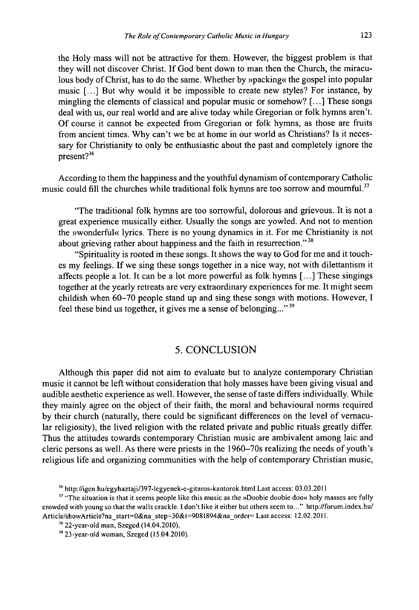the Holy mass will not be attractive for them. However, the biggest problem is that they will not discover Christ. If God bent down to man then the Church, the miraculous body of Christ, has to do the same. Whether by »packing« the gospel into popular music [...] But why would it be impossible to create new styles? For instance, by mingling the elements of classical and popular music or somehow? [...] These songs deal with us, our real world and are alive today while Gregorian or folk hymns aren't. Of course it cannot be expected from Gregorian or folk hymns, as those are fruits from ancient times. Why can't we be at home in our world as Christians? Is it necessary for Christianity to only be enthusiastic about the past and completely ignore the present?<sup>36</sup>

According to them the happiness and the youthful dynamism ofcontemporary Catholic music could fill the churches while traditional folk hymns are too sorrow and mournful.<sup>37</sup>

"The traditional folk hymns are too sorrowful, dolorous and grievous. It is not a great experience musically either. Usually the songs are yowled. And not to mention the »wonderful« lyrics. There is no young dynamics in it. For me Christianity is not about grieving rather about happiness and the faith in resurrection."<sup>38</sup>

"Spirituality is rooted in these songs. It shows the way to God for me and it touches my feelings. If we sing these songs together in a nice way, not with dilettantism it affects people a lot. It can be a lot more powerful as folk hymns [...] These singings together at the yearly retreats are very extraordinary experiences for me. It might seem childish when 60-70 people stand up and sing these songs with motions. However, I feel these bind us together, it gives me a sense of belonging..."<sup>39</sup>

### 5. CONCLUSION

Although this paper did not aim to evaluate but to analyze contemporary Christian music it cannot be left without consideration that holy masses have been giving visual and audible aesthetic experience as well. However, the sense of taste differs individually. While they mainly agree on the object of their faith, the moral and behavioural norms required by their church (naturally, there could be significant differences on the level of vernacular religiosity), the lived religion with the related private and public rituals greatly differ. Thus the attitudes towards contemporary Christian music are ambivalent among laic and cleric persons as well. As there were priests in the 1960-70s realizing the needs of youth's religious life and organizing communities with the help of contemporary Christian music,

<sup>56</sup> <http://igen.hu/egyhaztaji/397-legyenek-e-gitaros-kantorok.htrnl> Last access: 03.03.2011

<sup>&</sup>lt;sup>37</sup> "The situation is that it seems people like this music as the »Doobie doobie doo« holy masses are fully crowded with young so that the walls crackle. <sup>I</sup> don't like it either but others seem to..." <http://forum.index.hu/> Article/showArticle?na\_start=0&na\_step-30&t=908l894&na\_order= Last access: 12.02.2011.

<sup>38</sup> 22-ycar-old man, Szeged (14.04.2010).

<sup>39</sup> 23-year-old woman, Szeged (15.04.2010).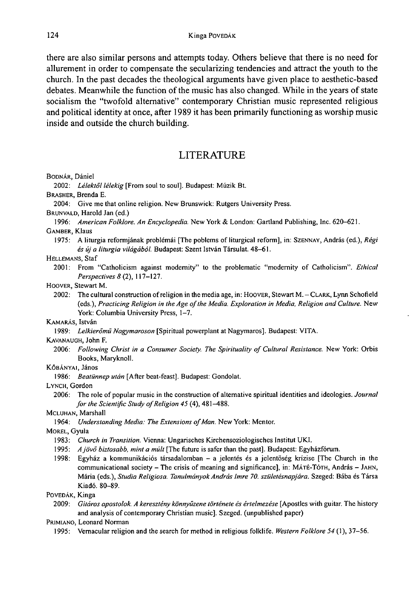there are also similar persons and attempts today. Others believe that there is no need for allurement in order to compensate the secularizing tendencies and attract the youth to the church. In the past decades the theological arguments have given place to aesthetic-based debates. Meanwhile the function of the music has also changed. While in the years of state socialism the "twofold alternative" contemporary Christian music represented religious and political identity at once, after 1989 it has been primarily functioning as worship music inside and outside the church building.

# LITERATURE

BODNÁR, Dániel

2002: *Lélektől lélekig* [From soul to soul]. Budapest: Múzik Bt.

BRASHER, Brenda E.

2004: Give me that online religion. New Brunswick: Rutgers University Press.

BRUNVALD, Harold Jan (ed.)

1996: *American Folklore. An Encyclopedia.* New York & London: Gartland Publishing, Inc. 620-621. GAMBER, Klaus

1975: A liturgia reformjának problémái [The poblems of liturgical reform], in: Szennay , András (ed.), *Régi és új a liturgia világából* Budapest: Szent István Társulat. 48-61.

#### HELLEMANS, Staf

2001: From "Catholicism against modernity" to the problematic "modernity of Catholicism". *Ethical Perspectives 8* (2), 117-127.

#### HOOVER, Stewart M.

2002: The cultural construction of religion in the media age, in: HOOVER, Stewart M. - CLARK, Lynn Schofield (eds.), *Practicing Religion in the Age ofthe Media. Exploration in Media, Religion and Culture.* New York: Columbia University Press, 1-7.

KAMARÁS, István

1989: *Lelkierömű Nagymaroson* [Spiritual powerplant at Nagymaros]. Budapest: VITA.

KAVANAUGH, John F.

2006: *Following Christ in a Consumer Society. The Spirituality of Cultural Resistance.* New York: Orbis Books, Maryknoll.

#### KŐBÁNYAI, János

1986: *Beatünnep után* [After beat-feast], Budapest: Gondolat.

#### LYNCH, Gordon

2006: The role of popular music in the construction of alternative spiritual identities and ideologies. *Journal for the Scientific Study of Religion 45* (4), 481-488.

#### MCLUHAN, Marshall

1964: *Understanding Media: The Extensions ofMan.* New York: Mentor.

MOREL, Gyula

- 1983: *Church in Transition.* Vienna: Ungarisches Kirchensoziologisches Institut UKI.
- 1995: *Ajövő biztosabb, mint a múlt* [The future is safer than the past], Budapest: Egyházfórum.
- 1998: Egyház <sup>a</sup> kommunikációs társadalomban <sup>a</sup> jelentés és <sup>a</sup> jelentőség krízise [The Church in the communicational society - The crisis of meaning and significance], in: MÁTÉ-TÓTH, András - JAHN, Mária (eds.), *Studia Religiosa. TanulmányokAndrásImre 70. születésnapjára.* Szeged: Bába és Társa Kiadó. 80-89.

### PoveDák, Kinga

2009: *Gitáros apostolok. A keresztény könnyűzene története és értelmezése* [Apostles with guitar. The history and analysis of contemporary Christian music]. Szeged, (unpublished paper)

PRIMIANO, Leonard Norman

1995: Vernacular religion and the search for method in religious folklife. *Western Folklore 54* (1), 37-56.